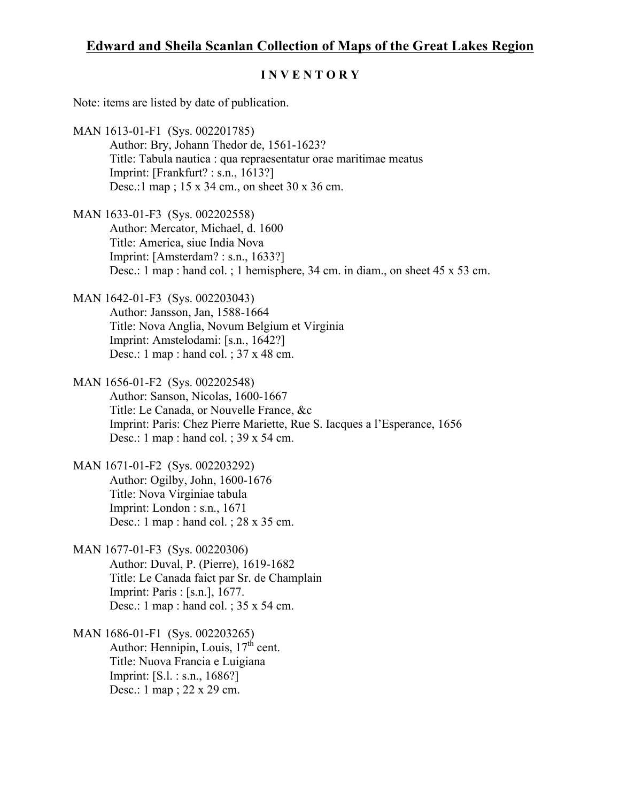## **Edward and Sheila Scanlan Collection of Maps of the Great Lakes Region**

## **I N V E N T O R Y**

Note: items are listed by date of publication.

- MAN 1613-01-F1 (Sys. 002201785) Author: Bry, Johann Thedor de, 1561-1623? Title: Tabula nautica : qua repraesentatur orae maritimae meatus Imprint: [Frankfurt? : s.n., 1613?] Desc.:1 map ; 15 x 34 cm., on sheet 30 x 36 cm.
- MAN 1633-01-F3 (Sys. 002202558) Author: Mercator, Michael, d. 1600 Title: America, siue India Nova Imprint: [Amsterdam? : s.n., 1633?] Desc.: 1 map : hand col. ; 1 hemisphere, 34 cm. in diam., on sheet 45 x 53 cm.
- MAN 1642-01-F3 (Sys. 002203043) Author: Jansson, Jan, 1588-1664 Title: Nova Anglia, Novum Belgium et Virginia Imprint: Amstelodami: [s.n., 1642?] Desc.: 1 map : hand col. ; 37 x 48 cm.
- MAN 1656-01-F2 (Sys. 002202548) Author: Sanson, Nicolas, 1600-1667 Title: Le Canada, or Nouvelle France, &c Imprint: Paris: Chez Pierre Mariette, Rue S. Iacques a l'Esperance, 1656 Desc.: 1 map : hand col. ; 39 x 54 cm.
- MAN 1671-01-F2 (Sys. 002203292) Author: Ogilby, John, 1600-1676 Title: Nova Virginiae tabula Imprint: London : s.n., 1671 Desc.: 1 map : hand col. ; 28 x 35 cm.
- MAN 1677-01-F3 (Sys. 00220306) Author: Duval, P. (Pierre), 1619-1682 Title: Le Canada faict par Sr. de Champlain Imprint: Paris : [s.n.], 1677. Desc.: 1 map : hand col. ; 35 x 54 cm.
- MAN 1686-01-F1 (Sys. 002203265) Author: Hennipin, Louis,  $17<sup>th</sup>$  cent. Title: Nuova Francia e Luigiana Imprint: [S.l. : s.n., 1686?] Desc.: 1 map ; 22 x 29 cm.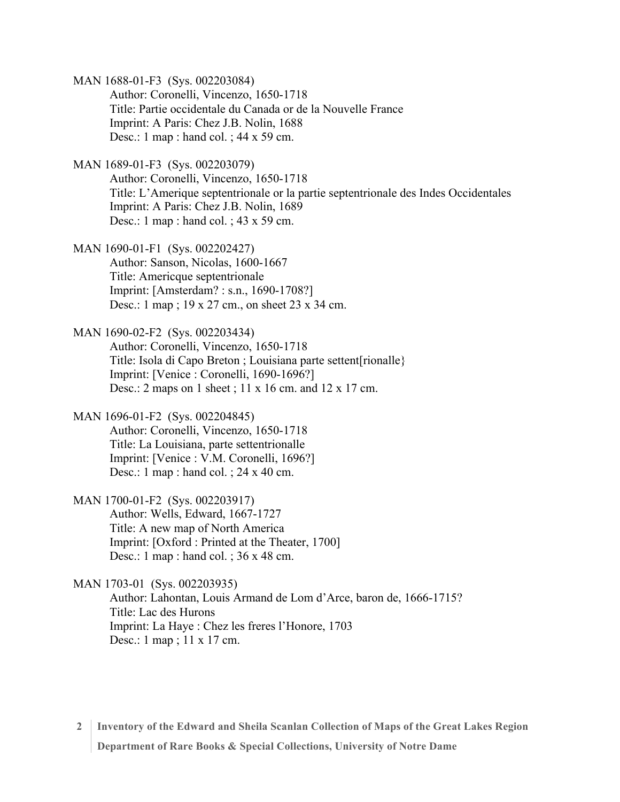MAN 1688-01-F3 (Sys. 002203084)

Author: Coronelli, Vincenzo, 1650-1718 Title: Partie occidentale du Canada or de la Nouvelle France Imprint: A Paris: Chez J.B. Nolin, 1688 Desc.: 1 map : hand col. ; 44 x 59 cm.

MAN 1689-01-F3 (Sys. 002203079)

Author: Coronelli, Vincenzo, 1650-1718 Title: L'Amerique septentrionale or la partie septentrionale des Indes Occidentales Imprint: A Paris: Chez J.B. Nolin, 1689 Desc.: 1 map : hand col. ; 43 x 59 cm.

MAN 1690-01-F1 (Sys. 002202427) Author: Sanson, Nicolas, 1600-1667 Title: Americque septentrionale Imprint: [Amsterdam? : s.n., 1690-1708?] Desc.: 1 map ; 19 x 27 cm., on sheet 23 x 34 cm.

MAN 1690-02-F2 (Sys. 002203434) Author: Coronelli, Vincenzo, 1650-1718 Title: Isola di Capo Breton ; Louisiana parte settent[rionalle} Imprint: [Venice : Coronelli, 1690-1696?] Desc.: 2 maps on 1 sheet ; 11 x 16 cm. and 12 x 17 cm.

MAN 1696-01-F2 (Sys. 002204845) Author: Coronelli, Vincenzo, 1650-1718 Title: La Louisiana, parte settentrionalle Imprint: [Venice : V.M. Coronelli, 1696?] Desc.: 1 map : hand col. ; 24 x 40 cm.

MAN 1700-01-F2 (Sys. 002203917) Author: Wells, Edward, 1667-1727 Title: A new map of North America Imprint: [Oxford : Printed at the Theater, 1700] Desc.: 1 map : hand col. ; 36 x 48 cm.

MAN 1703-01 (Sys. 002203935) Author: Lahontan, Louis Armand de Lom d'Arce, baron de, 1666-1715? Title: Lac des Hurons Imprint: La Haye : Chez les freres l'Honore, 1703 Desc.: 1 map ; 11 x 17 cm.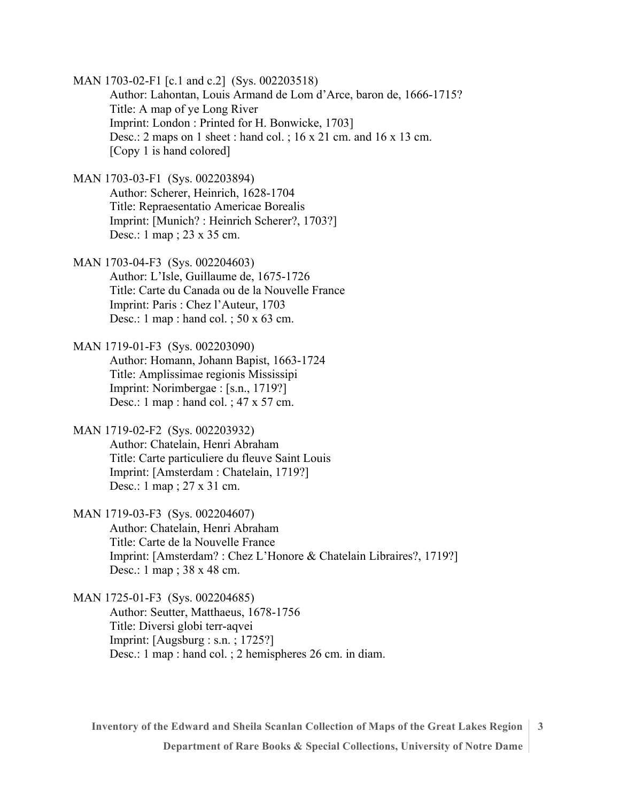MAN 1703-02-F1 [c.1 and c.2] (Sys. 002203518) Author: Lahontan, Louis Armand de Lom d'Arce, baron de, 1666-1715? Title: A map of ye Long River Imprint: London : Printed for H. Bonwicke, 1703] Desc.: 2 maps on 1 sheet : hand col. ; 16 x 21 cm. and 16 x 13 cm. [Copy 1 is hand colored]

MAN 1703-03-F1 (Sys. 002203894) Author: Scherer, Heinrich, 1628-1704 Title: Repraesentatio Americae Borealis Imprint: [Munich? : Heinrich Scherer?, 1703?] Desc.: 1 map ; 23 x 35 cm.

MAN 1703-04-F3 (Sys. 002204603) Author: L'Isle, Guillaume de, 1675-1726 Title: Carte du Canada ou de la Nouvelle France Imprint: Paris : Chez l'Auteur, 1703 Desc.: 1 map : hand col. ; 50 x 63 cm.

MAN 1719-01-F3 (Sys. 002203090) Author: Homann, Johann Bapist, 1663-1724 Title: Amplissimae regionis Mississipi Imprint: Norimbergae : [s.n., 1719?] Desc.: 1 map : hand col. ; 47 x 57 cm.

MAN 1719-02-F2 (Sys. 002203932) Author: Chatelain, Henri Abraham Title: Carte particuliere du fleuve Saint Louis Imprint: [Amsterdam : Chatelain, 1719?] Desc.: 1 map ; 27 x 31 cm.

MAN 1719-03-F3 (Sys. 002204607) Author: Chatelain, Henri Abraham Title: Carte de la Nouvelle France Imprint: [Amsterdam? : Chez L'Honore & Chatelain Libraires?, 1719?] Desc.: 1 map ; 38 x 48 cm.

MAN 1725-01-F3 (Sys. 002204685) Author: Seutter, Matthaeus, 1678-1756 Title: Diversi globi terr-aqvei Imprint: [Augsburg : s.n. ; 1725?] Desc.: 1 map : hand col. ; 2 hemispheres 26 cm. in diam.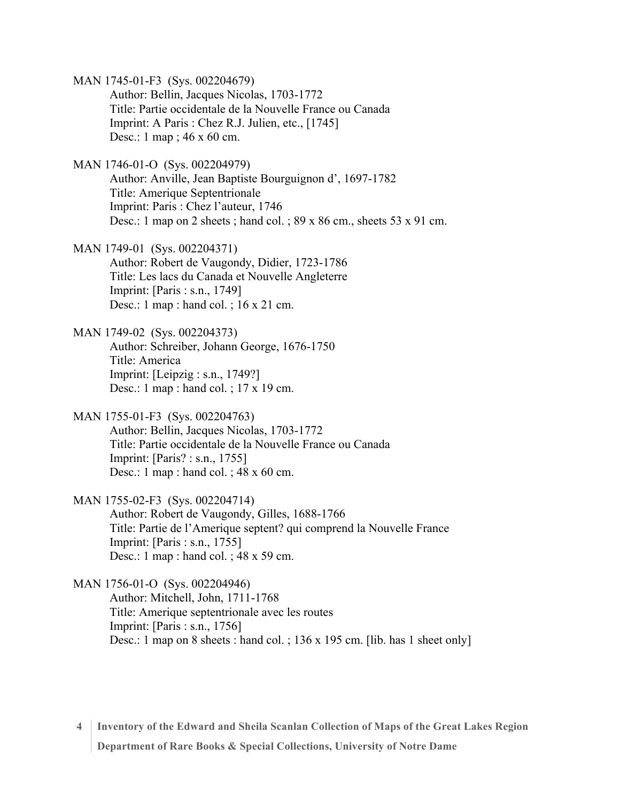MAN 1745-01-F3 (Sys. 002204679)

Author: Bellin, Jacques Nicolas, 1703-1772 Title: Partie occidentale de la Nouvelle France ou Canada Imprint: A Paris : Chez R.J. Julien, etc., [1745] Desc.: 1 map ; 46 x 60 cm.

MAN 1746-01-O (Sys. 002204979)

Author: Anville, Jean Baptiste Bourguignon d', 1697-1782 Title: Amerique Septentrionale Imprint: Paris : Chez l'auteur, 1746 Desc.: 1 map on 2 sheets; hand col.; 89 x 86 cm., sheets 53 x 91 cm.

MAN 1749-01 (Sys. 002204371) Author: Robert de Vaugondy, Didier, 1723-1786 Title: Les lacs du Canada et Nouvelle Angleterre Imprint: [Paris : s.n., 1749] Desc.: 1 map : hand col. ; 16 x 21 cm.

MAN 1749-02 (Sys. 002204373) Author: Schreiber, Johann George, 1676-1750 Title: America Imprint: [Leipzig : s.n., 1749?] Desc.: 1 map : hand col. ; 17 x 19 cm.

MAN 1755-01-F3 (Sys. 002204763) Author: Bellin, Jacques Nicolas, 1703-1772 Title: Partie occidentale de la Nouvelle France ou Canada Imprint: [Paris? : s.n., 1755] Desc.: 1 map : hand col. ; 48 x 60 cm.

MAN 1755-02-F3 (Sys. 002204714) Author: Robert de Vaugondy, Gilles, 1688-1766 Title: Partie de l'Amerique septent? qui comprend la Nouvelle France Imprint: [Paris : s.n., 1755] Desc.: 1 map : hand col. ; 48 x 59 cm.

MAN 1756-01-O (Sys. 002204946) Author: Mitchell, John, 1711-1768 Title: Amerique septentrionale avec les routes Imprint: [Paris : s.n., 1756] Desc.: 1 map on 8 sheets : hand col. ; 136 x 195 cm. [lib. has 1 sheet only]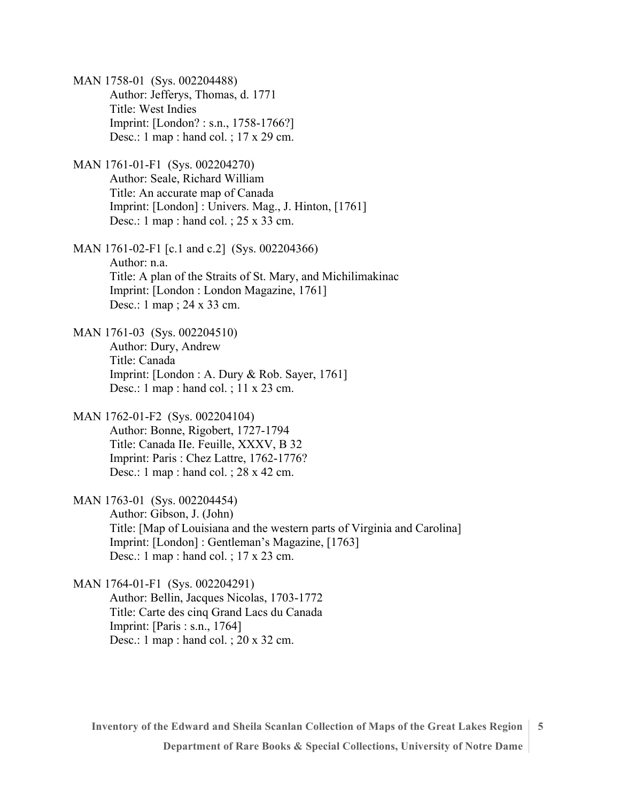MAN 1758-01 (Sys. 002204488) Author: Jefferys, Thomas, d. 1771 Title: West Indies Imprint: [London? : s.n., 1758-1766?] Desc.: 1 map : hand col. ; 17 x 29 cm. MAN 1761-01-F1 (Sys. 002204270) Author: Seale, Richard William Title: An accurate map of Canada Imprint: [London] : Univers. Mag., J. Hinton, [1761] Desc.: 1 map : hand col. ; 25 x 33 cm. MAN 1761-02-F1 [c.1 and c.2] (Sys. 002204366) Author: n.a. Title: A plan of the Straits of St. Mary, and Michilimakinac Imprint: [London : London Magazine, 1761] Desc.: 1 map ; 24 x 33 cm. MAN 1761-03 (Sys. 002204510) Author: Dury, Andrew Title: Canada Imprint: [London : A. Dury & Rob. Sayer, 1761] Desc.: 1 map : hand col. ; 11 x 23 cm. MAN 1762-01-F2 (Sys. 002204104) Author: Bonne, Rigobert, 1727-1794 Title: Canada IIe. Feuille, XXXV, B 32 Imprint: Paris : Chez Lattre, 1762-1776? Desc.: 1 map : hand col. ; 28 x 42 cm. MAN 1763-01 (Sys. 002204454) Author: Gibson, J. (John) Title: [Map of Louisiana and the western parts of Virginia and Carolina] Imprint: [London] : Gentleman's Magazine, [1763] Desc.: 1 map : hand col. ; 17 x 23 cm. MAN 1764-01-F1 (Sys. 002204291) Author: Bellin, Jacques Nicolas, 1703-1772 Title: Carte des cinq Grand Lacs du Canada Imprint: [Paris : s.n., 1764]

Desc.: 1 map : hand col. ; 20 x 32 cm.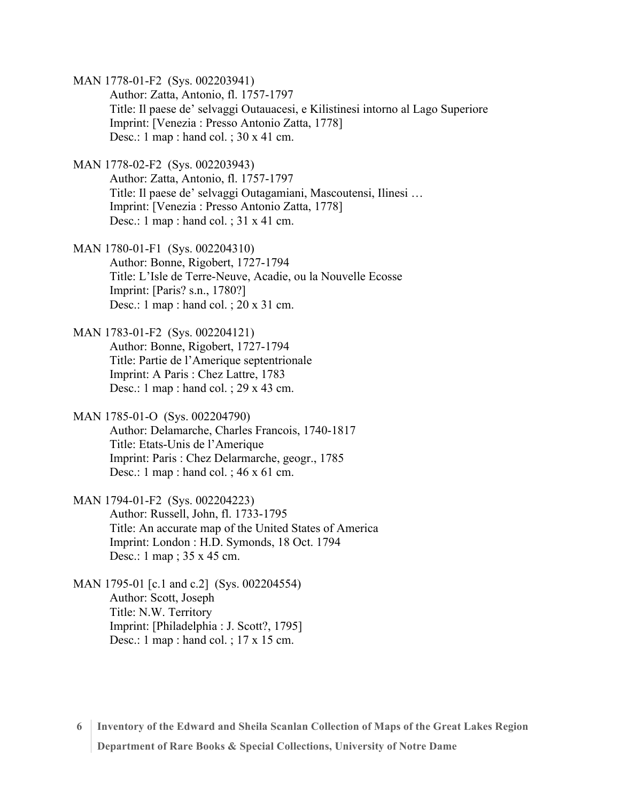MAN 1778-01-F2 (Sys. 002203941)

Author: Zatta, Antonio, fl. 1757-1797 Title: Il paese de' selvaggi Outauacesi, e Kilistinesi intorno al Lago Superiore Imprint: [Venezia : Presso Antonio Zatta, 1778] Desc.: 1 map : hand col. ; 30 x 41 cm.

MAN 1778-02-F2 (Sys. 002203943)

Author: Zatta, Antonio, fl. 1757-1797 Title: Il paese de' selvaggi Outagamiani, Mascoutensi, Ilinesi … Imprint: [Venezia : Presso Antonio Zatta, 1778] Desc.: 1 map : hand col. ;  $31 \times 41$  cm.

MAN 1780-01-F1 (Sys. 002204310) Author: Bonne, Rigobert, 1727-1794 Title: L'Isle de Terre-Neuve, Acadie, ou la Nouvelle Ecosse Imprint: [Paris? s.n., 1780?] Desc.: 1 map : hand col. ; 20 x 31 cm.

MAN 1783-01-F2 (Sys. 002204121) Author: Bonne, Rigobert, 1727-1794 Title: Partie de l'Amerique septentrionale Imprint: A Paris : Chez Lattre, 1783 Desc.: 1 map : hand col. ; 29 x 43 cm.

MAN 1785-01-O (Sys. 002204790) Author: Delamarche, Charles Francois, 1740-1817 Title: Etats-Unis de l'Amerique Imprint: Paris : Chez Delarmarche, geogr., 1785 Desc.: 1 map : hand col. ; 46 x 61 cm.

MAN 1794-01-F2 (Sys. 002204223) Author: Russell, John, fl. 1733-1795 Title: An accurate map of the United States of America Imprint: London : H.D. Symonds, 18 Oct. 1794 Desc.: 1 map ; 35 x 45 cm.

MAN 1795-01 [c.1 and c.2] (Sys. 002204554) Author: Scott, Joseph Title: N.W. Territory Imprint: [Philadelphia : J. Scott?, 1795] Desc.: 1 map : hand col. ; 17 x 15 cm.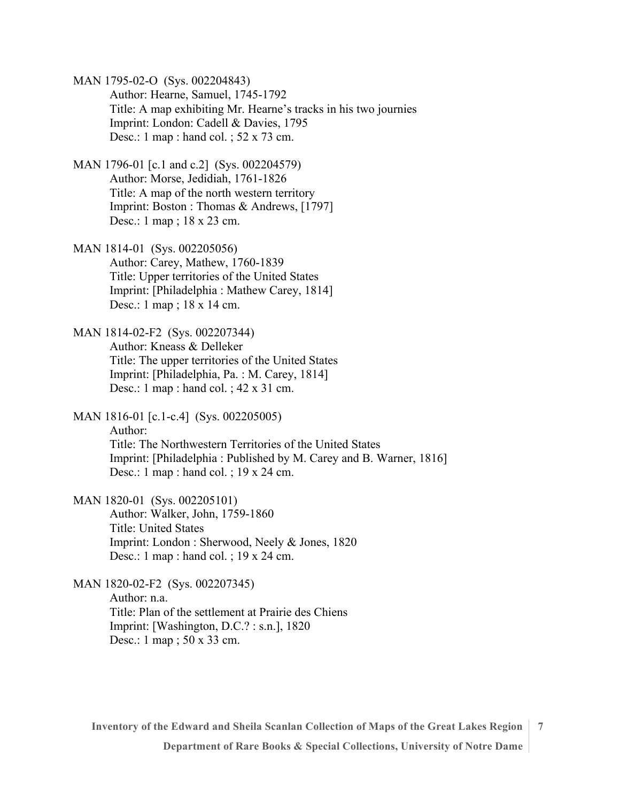MAN 1795-02-O (Sys. 002204843) Author: Hearne, Samuel, 1745-1792 Title: A map exhibiting Mr. Hearne's tracks in his two journies Imprint: London: Cadell & Davies, 1795 Desc.: 1 map : hand col. ; 52 x 73 cm.

- MAN 1796-01 [c.1 and c.2] (Sys. 002204579) Author: Morse, Jedidiah, 1761-1826 Title: A map of the north western territory Imprint: Boston : Thomas & Andrews, [1797] Desc.: 1 map ; 18 x 23 cm.
- MAN 1814-01 (Sys. 002205056) Author: Carey, Mathew, 1760-1839 Title: Upper territories of the United States Imprint: [Philadelphia : Mathew Carey, 1814] Desc.: 1 map ; 18 x 14 cm.

MAN 1814-02-F2 (Sys. 002207344) Author: Kneass & Delleker Title: The upper territories of the United States Imprint: [Philadelphia, Pa. : M. Carey, 1814] Desc.: 1 map : hand col. ; 42 x 31 cm.

MAN 1816-01 [c.1-c.4] (Sys. 002205005) Author: Title: The Northwestern Territories of the United States Imprint: [Philadelphia : Published by M. Carey and B. Warner, 1816] Desc.: 1 map : hand col. ; 19 x 24 cm.

MAN 1820-01 (Sys. 002205101) Author: Walker, John, 1759-1860 Title: United States Imprint: London : Sherwood, Neely & Jones, 1820 Desc.: 1 map : hand col. ; 19 x 24 cm.

MAN 1820-02-F2 (Sys. 002207345) Author: n.a. Title: Plan of the settlement at Prairie des Chiens Imprint: [Washington, D.C.? : s.n.], 1820 Desc.: 1 map ; 50 x 33 cm.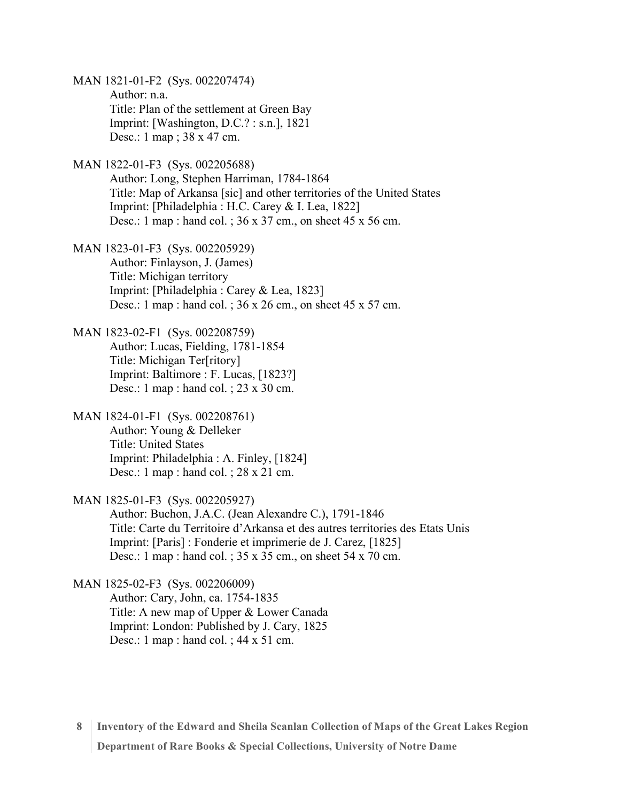MAN 1821-01-F2 (Sys. 002207474) Author: n.a. Title: Plan of the settlement at Green Bay Imprint: [Washington, D.C.? : s.n.], 1821 Desc.: 1 map ; 38 x 47 cm. MAN 1822-01-F3 (Sys. 002205688) Author: Long, Stephen Harriman, 1784-1864 Title: Map of Arkansa [sic] and other territories of the United States Imprint: [Philadelphia : H.C. Carey & I. Lea, 1822] Desc.: 1 map : hand col. ; 36 x 37 cm., on sheet 45 x 56 cm. MAN 1823-01-F3 (Sys. 002205929) Author: Finlayson, J. (James) Title: Michigan territory Imprint: [Philadelphia : Carey & Lea, 1823] Desc.: 1 map : hand col. ; 36 x 26 cm., on sheet 45 x 57 cm. MAN 1823-02-F1 (Sys. 002208759) Author: Lucas, Fielding, 1781-1854 Title: Michigan Ter[ritory] Imprint: Baltimore : F. Lucas, [1823?] Desc.: 1 map : hand col. ; 23 x 30 cm. MAN 1824-01-F1 (Sys. 002208761) Author: Young & Delleker Title: United States Imprint: Philadelphia : A. Finley, [1824] Desc.: 1 map : hand col. ; 28 x 21 cm. MAN 1825-01-F3 (Sys. 002205927) Author: Buchon, J.A.C. (Jean Alexandre C.), 1791-1846 Title: Carte du Territoire d'Arkansa et des autres territories des Etats Unis Imprint: [Paris] : Fonderie et imprimerie de J. Carez, [1825] Desc.: 1 map : hand col. ; 35 x 35 cm., on sheet 54 x 70 cm. MAN 1825-02-F3 (Sys. 002206009) Author: Cary, John, ca. 1754-1835 Title: A new map of Upper & Lower Canada Imprint: London: Published by J. Cary, 1825 Desc.: 1 map : hand col. ; 44 x 51 cm.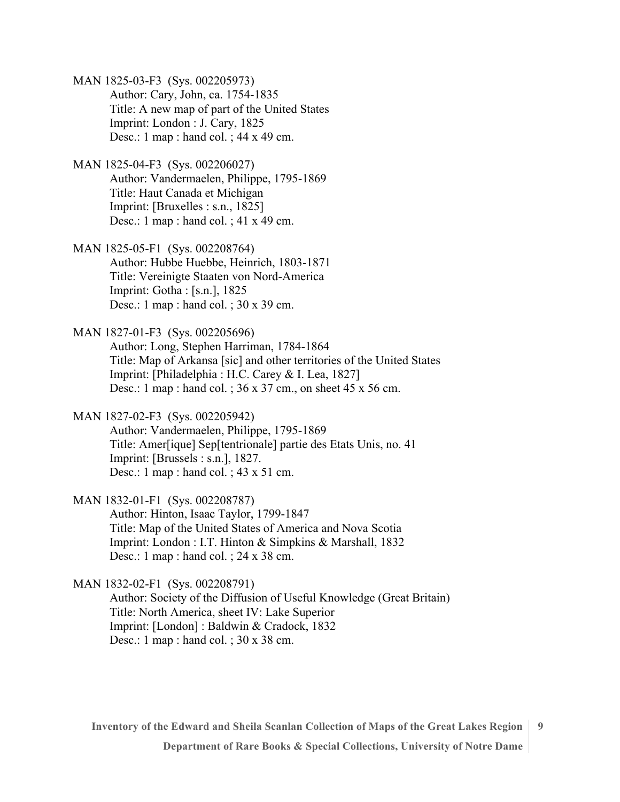MAN 1825-03-F3 (Sys. 002205973) Author: Cary, John, ca. 1754-1835 Title: A new map of part of the United States Imprint: London : J. Cary, 1825 Desc.: 1 map : hand col. ; 44 x 49 cm.

MAN 1825-04-F3 (Sys. 002206027) Author: Vandermaelen, Philippe, 1795-1869 Title: Haut Canada et Michigan Imprint: [Bruxelles : s.n., 1825] Desc.: 1 map : hand col. ; 41 x 49 cm.

MAN 1825-05-F1 (Sys. 002208764) Author: Hubbe Huebbe, Heinrich, 1803-1871 Title: Vereinigte Staaten von Nord-America Imprint: Gotha : [s.n.], 1825 Desc.: 1 map : hand col. ; 30 x 39 cm.

MAN 1827-01-F3 (Sys. 002205696) Author: Long, Stephen Harriman, 1784-1864 Title: Map of Arkansa [sic] and other territories of the United States Imprint: [Philadelphia : H.C. Carey & I. Lea, 1827] Desc.: 1 map : hand col. ; 36 x 37 cm., on sheet 45 x 56 cm.

MAN 1827-02-F3 (Sys. 002205942)

Author: Vandermaelen, Philippe, 1795-1869 Title: Amer[ique] Sep[tentrionale] partie des Etats Unis, no. 41 Imprint: [Brussels : s.n.], 1827. Desc.: 1 map : hand col. ; 43 x 51 cm.

MAN 1832-01-F1 (Sys. 002208787) Author: Hinton, Isaac Taylor, 1799-1847

Title: Map of the United States of America and Nova Scotia Imprint: London : I.T. Hinton & Simpkins & Marshall, 1832 Desc.: 1 map : hand col. ; 24 x 38 cm.

MAN 1832-02-F1 (Sys. 002208791)

Author: Society of the Diffusion of Useful Knowledge (Great Britain) Title: North America, sheet IV: Lake Superior Imprint: [London] : Baldwin & Cradock, 1832 Desc.: 1 map : hand col. ; 30 x 38 cm.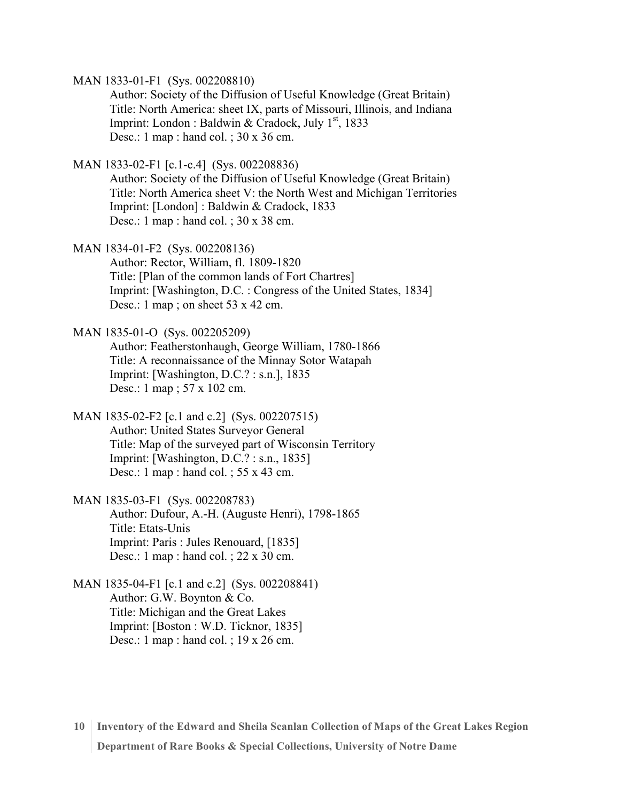MAN 1833-01-F1 (Sys. 002208810)

Author: Society of the Diffusion of Useful Knowledge (Great Britain) Title: North America: sheet IX, parts of Missouri, Illinois, and Indiana Imprint: London : Baldwin & Cradock, July  $1<sup>st</sup>$ , 1833 Desc.: 1 map : hand col. ; 30 x 36 cm.

MAN 1833-02-F1 [c.1-c.4] (Sys. 002208836)

Author: Society of the Diffusion of Useful Knowledge (Great Britain) Title: North America sheet V: the North West and Michigan Territories Imprint: [London] : Baldwin & Cradock, 1833 Desc.: 1 map : hand col. ; 30 x 38 cm.

MAN 1834-01-F2 (Sys. 002208136)

Author: Rector, William, fl. 1809-1820 Title: [Plan of the common lands of Fort Chartres] Imprint: [Washington, D.C. : Congress of the United States, 1834] Desc.: 1 map ; on sheet  $53 \times 42$  cm.

MAN 1835-01-O (Sys. 002205209)

Author: Featherstonhaugh, George William, 1780-1866 Title: A reconnaissance of the Minnay Sotor Watapah Imprint: [Washington, D.C.? : s.n.], 1835 Desc.: 1 map ; 57 x 102 cm.

MAN 1835-02-F2 [c.1 and c.2] (Sys. 002207515) Author: United States Surveyor General Title: Map of the surveyed part of Wisconsin Territory Imprint: [Washington, D.C.? : s.n., 1835] Desc.: 1 map : hand col. ; 55 x 43 cm.

MAN 1835-03-F1 (Sys. 002208783) Author: Dufour, A.-H. (Auguste Henri), 1798-1865 Title: Etats-Unis Imprint: Paris : Jules Renouard, [1835] Desc.: 1 map : hand col. ; 22 x 30 cm.

MAN 1835-04-F1 [c.1 and c.2] (Sys. 002208841) Author: G.W. Boynton & Co. Title: Michigan and the Great Lakes Imprint: [Boston : W.D. Ticknor, 1835] Desc.: 1 map : hand col. ; 19 x 26 cm.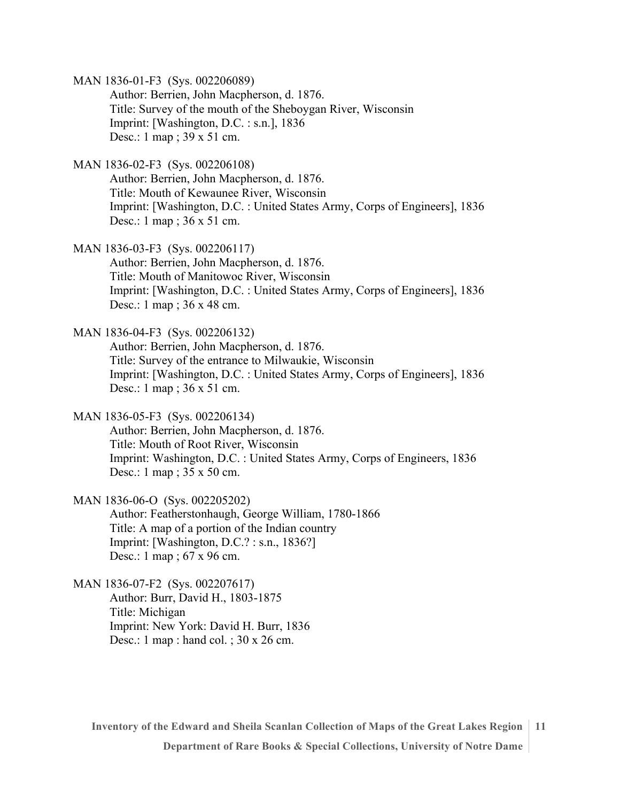MAN 1836-01-F3 (Sys. 002206089)

Author: Berrien, John Macpherson, d. 1876. Title: Survey of the mouth of the Sheboygan River, Wisconsin Imprint: [Washington, D.C. : s.n.], 1836 Desc.: 1 map ; 39 x 51 cm.

MAN 1836-02-F3 (Sys. 002206108)

Author: Berrien, John Macpherson, d. 1876. Title: Mouth of Kewaunee River, Wisconsin Imprint: [Washington, D.C. : United States Army, Corps of Engineers], 1836 Desc.: 1 map ; 36 x 51 cm.

MAN 1836-03-F3 (Sys. 002206117) Author: Berrien, John Macpherson, d. 1876. Title: Mouth of Manitowoc River, Wisconsin Imprint: [Washington, D.C. : United States Army, Corps of Engineers], 1836 Desc.: 1 map ; 36 x 48 cm.

MAN 1836-04-F3 (Sys. 002206132) Author: Berrien, John Macpherson, d. 1876. Title: Survey of the entrance to Milwaukie, Wisconsin Imprint: [Washington, D.C. : United States Army, Corps of Engineers], 1836 Desc.: 1 map ; 36 x 51 cm.

MAN 1836-05-F3 (Sys. 002206134) Author: Berrien, John Macpherson, d. 1876. Title: Mouth of Root River, Wisconsin Imprint: Washington, D.C. : United States Army, Corps of Engineers, 1836

Desc.: 1 map ; 35 x 50 cm.

MAN 1836-06-O (Sys. 002205202) Author: Featherstonhaugh, George William, 1780-1866 Title: A map of a portion of the Indian country

> Imprint: [Washington, D.C.? : s.n., 1836?] Desc.: 1 map ; 67 x 96 cm.

MAN 1836-07-F2 (Sys. 002207617) Author: Burr, David H., 1803-1875 Title: Michigan Imprint: New York: David H. Burr, 1836 Desc.: 1 map : hand col. ; 30 x 26 cm.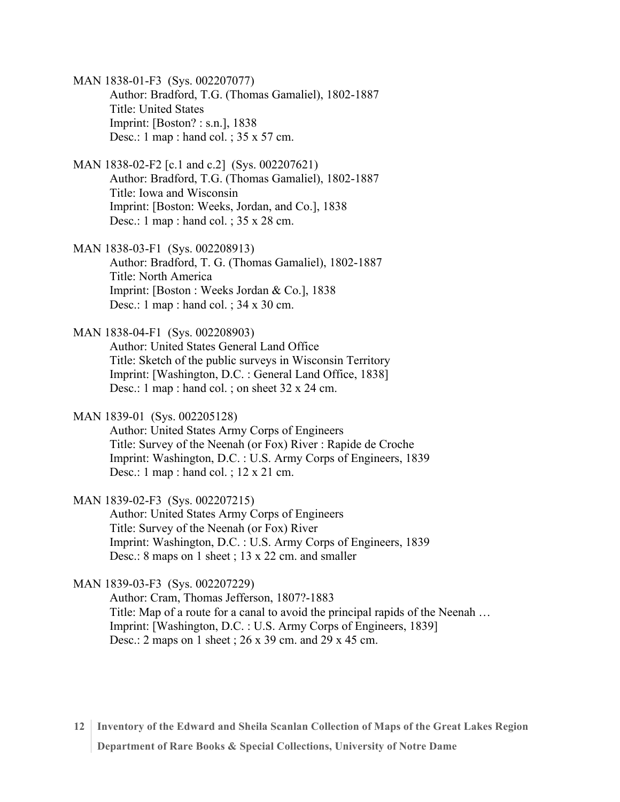MAN 1838-01-F3 (Sys. 002207077) Author: Bradford, T.G. (Thomas Gamaliel), 1802-1887 Title: United States Imprint: [Boston? : s.n.], 1838 Desc.: 1 map : hand col. ; 35 x 57 cm.

- MAN 1838-02-F2 [c.1 and c.2] (Sys. 002207621) Author: Bradford, T.G. (Thomas Gamaliel), 1802-1887 Title: Iowa and Wisconsin Imprint: [Boston: Weeks, Jordan, and Co.], 1838 Desc.: 1 map : hand col. ; 35 x 28 cm.
- MAN 1838-03-F1 (Sys. 002208913) Author: Bradford, T. G. (Thomas Gamaliel), 1802-1887 Title: North America Imprint: [Boston : Weeks Jordan & Co.], 1838 Desc.: 1 map : hand col. ; 34 x 30 cm.
- MAN 1838-04-F1 (Sys. 002208903)
	- Author: United States General Land Office Title: Sketch of the public surveys in Wisconsin Territory Imprint: [Washington, D.C. : General Land Office, 1838] Desc.: 1 map : hand col. ; on sheet 32 x 24 cm.
- MAN 1839-01 (Sys. 002205128)
	- Author: United States Army Corps of Engineers Title: Survey of the Neenah (or Fox) River : Rapide de Croche Imprint: Washington, D.C. : U.S. Army Corps of Engineers, 1839 Desc.: 1 map : hand col. ; 12 x 21 cm.
- MAN 1839-02-F3 (Sys. 002207215)
	- Author: United States Army Corps of Engineers Title: Survey of the Neenah (or Fox) River Imprint: Washington, D.C. : U.S. Army Corps of Engineers, 1839 Desc.: 8 maps on 1 sheet ; 13 x 22 cm. and smaller

MAN 1839-03-F3 (Sys. 002207229)

Author: Cram, Thomas Jefferson, 1807?-1883 Title: Map of a route for a canal to avoid the principal rapids of the Neenah … Imprint: [Washington, D.C. : U.S. Army Corps of Engineers, 1839] Desc.: 2 maps on 1 sheet ; 26 x 39 cm. and 29 x 45 cm.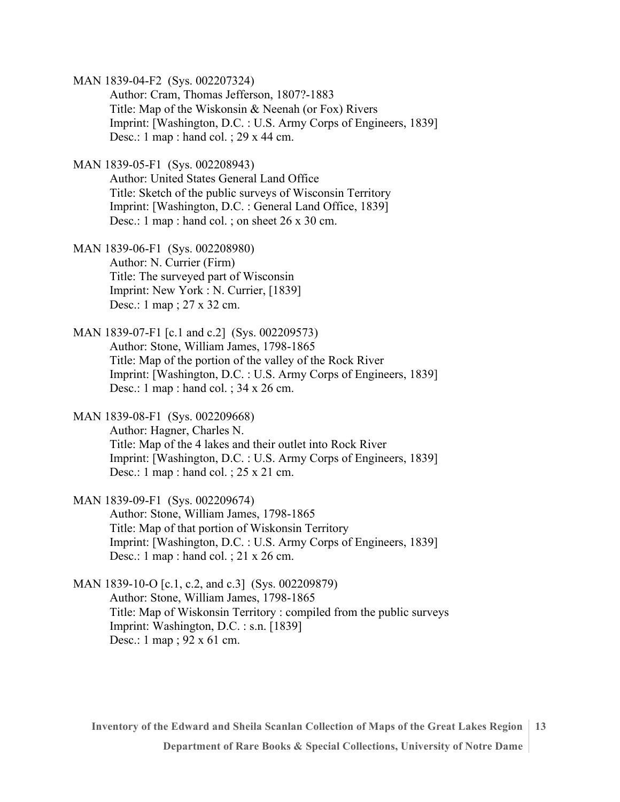MAN 1839-04-F2 (Sys. 002207324)

Author: Cram, Thomas Jefferson, 1807?-1883 Title: Map of the Wiskonsin & Neenah (or Fox) Rivers Imprint: [Washington, D.C. : U.S. Army Corps of Engineers, 1839] Desc.: 1 map : hand col. ; 29 x 44 cm.

MAN 1839-05-F1 (Sys. 002208943)

Author: United States General Land Office Title: Sketch of the public surveys of Wisconsin Territory Imprint: [Washington, D.C. : General Land Office, 1839] Desc.: 1 map : hand col. ; on sheet 26 x 30 cm.

MAN 1839-06-F1 (Sys. 002208980) Author: N. Currier (Firm) Title: The surveyed part of Wisconsin Imprint: New York : N. Currier, [1839] Desc.: 1 map ; 27 x 32 cm.

MAN 1839-07-F1 [c.1 and c.2] (Sys. 002209573) Author: Stone, William James, 1798-1865 Title: Map of the portion of the valley of the Rock River Imprint: [Washington, D.C. : U.S. Army Corps of Engineers, 1839] Desc.: 1 map : hand col. ; 34 x 26 cm.

MAN 1839-08-F1 (Sys. 002209668) Author: Hagner, Charles N. Title: Map of the 4 lakes and their outlet into Rock River Imprint: [Washington, D.C. : U.S. Army Corps of Engineers, 1839] Desc.: 1 map : hand col. ; 25 x 21 cm.

MAN 1839-09-F1 (Sys. 002209674) Author: Stone, William James, 1798-1865 Title: Map of that portion of Wiskonsin Territory Imprint: [Washington, D.C. : U.S. Army Corps of Engineers, 1839] Desc.: 1 map : hand col. ; 21 x 26 cm.

MAN 1839-10-O [c.1, c.2, and c.3] (Sys. 002209879) Author: Stone, William James, 1798-1865 Title: Map of Wiskonsin Territory : compiled from the public surveys Imprint: Washington, D.C. : s.n. [1839] Desc.: 1 map ; 92 x 61 cm.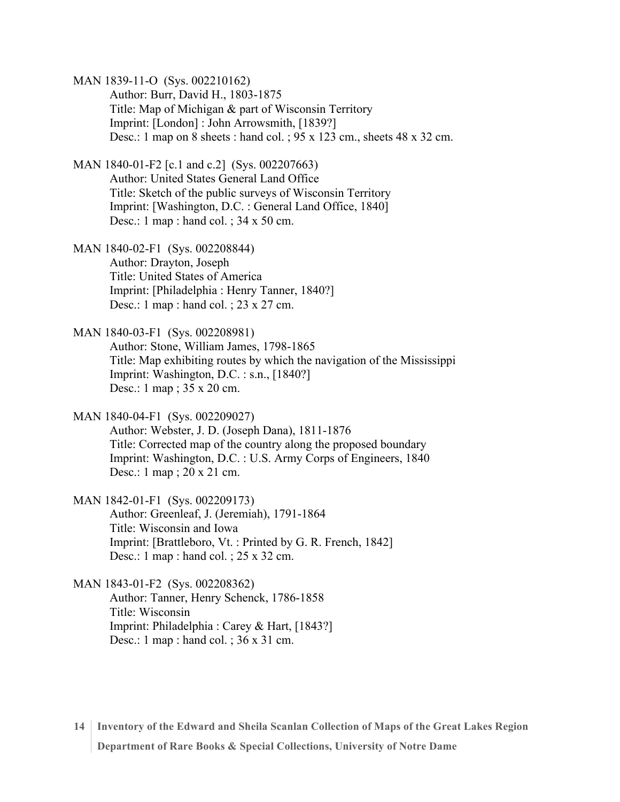MAN 1839-11-O (Sys. 002210162)

Author: Burr, David H., 1803-1875 Title: Map of Michigan & part of Wisconsin Territory Imprint: [London] : John Arrowsmith, [1839?] Desc.: 1 map on 8 sheets : hand col. ; 95 x 123 cm., sheets 48 x 32 cm.

MAN 1840-01-F2 [c.1 and c.2] (Sys. 002207663) Author: United States General Land Office Title: Sketch of the public surveys of Wisconsin Territory Imprint: [Washington, D.C. : General Land Office, 1840] Desc.: 1 map : hand col. ; 34 x 50 cm.

MAN 1840-02-F1 (Sys. 002208844) Author: Drayton, Joseph Title: United States of America Imprint: [Philadelphia : Henry Tanner, 1840?] Desc.: 1 map : hand col. ; 23 x 27 cm.

MAN 1840-03-F1 (Sys. 002208981) Author: Stone, William James, 1798-1865 Title: Map exhibiting routes by which the navigation of the Mississippi Imprint: Washington, D.C. : s.n., [1840?] Desc.: 1 map ; 35 x 20 cm.

MAN 1840-04-F1 (Sys. 002209027) Author: Webster, J. D. (Joseph Dana), 1811-1876 Title: Corrected map of the country along the proposed boundary Imprint: Washington, D.C. : U.S. Army Corps of Engineers, 1840 Desc.: 1 map ; 20 x 21 cm.

MAN 1842-01-F1 (Sys. 002209173) Author: Greenleaf, J. (Jeremiah), 1791-1864 Title: Wisconsin and Iowa Imprint: [Brattleboro, Vt. : Printed by G. R. French, 1842] Desc.: 1 map : hand col. ; 25 x 32 cm.

MAN 1843-01-F2 (Sys. 002208362) Author: Tanner, Henry Schenck, 1786-1858 Title: Wisconsin Imprint: Philadelphia : Carey & Hart, [1843?] Desc.: 1 map : hand col. ; 36 x 31 cm.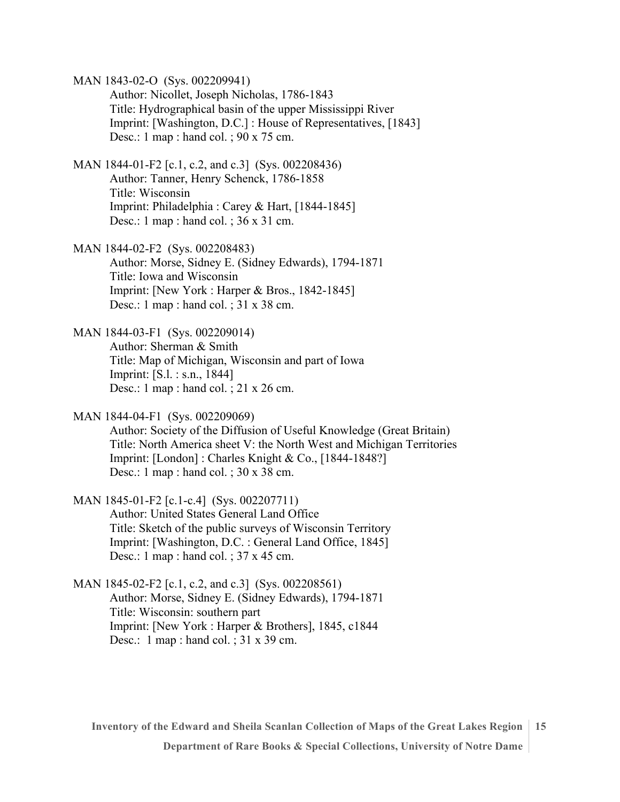MAN 1843-02-O (Sys. 002209941)

Author: Nicollet, Joseph Nicholas, 1786-1843 Title: Hydrographical basin of the upper Mississippi River Imprint: [Washington, D.C.] : House of Representatives, [1843] Desc.: 1 map : hand col. ; 90 x 75 cm.

- MAN 1844-01-F2 [c.1, c.2, and c.3] (Sys. 002208436) Author: Tanner, Henry Schenck, 1786-1858 Title: Wisconsin Imprint: Philadelphia : Carey & Hart, [1844-1845] Desc.: 1 map : hand col. ; 36 x 31 cm.
- MAN 1844-02-F2 (Sys. 002208483) Author: Morse, Sidney E. (Sidney Edwards), 1794-1871 Title: Iowa and Wisconsin Imprint: [New York : Harper & Bros., 1842-1845] Desc.: 1 map : hand col. ; 31 x 38 cm.
- MAN 1844-03-F1 (Sys. 002209014) Author: Sherman & Smith Title: Map of Michigan, Wisconsin and part of Iowa Imprint: [S.l. : s.n., 1844] Desc.: 1 map : hand col. ; 21 x 26 cm.
- MAN 1844-04-F1 (Sys. 002209069) Author: Society of the Diffusion of Useful Knowledge (Great Britain) Title: North America sheet V: the North West and Michigan Territories Imprint: [London] : Charles Knight & Co., [1844-1848?] Desc.: 1 map : hand col. ; 30 x 38 cm.
- MAN 1845-01-F2 [c.1-c.4] (Sys. 002207711) Author: United States General Land Office Title: Sketch of the public surveys of Wisconsin Territory Imprint: [Washington, D.C. : General Land Office, 1845] Desc.: 1 map : hand col. ; 37 x 45 cm.
- MAN 1845-02-F2 [c.1, c.2, and c.3] (Sys. 002208561) Author: Morse, Sidney E. (Sidney Edwards), 1794-1871 Title: Wisconsin: southern part Imprint: [New York : Harper & Brothers], 1845, c1844 Desc.: 1 map : hand col. ; 31 x 39 cm.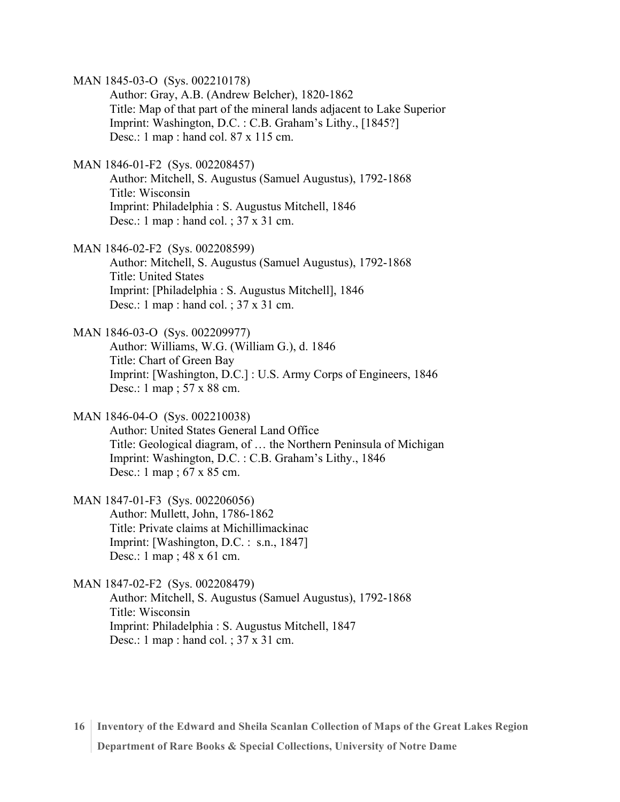MAN 1845-03-O (Sys. 002210178) Author: Gray, A.B. (Andrew Belcher), 1820-1862 Title: Map of that part of the mineral lands adjacent to Lake Superior Imprint: Washington, D.C. : C.B. Graham's Lithy., [1845?] Desc.: 1 map : hand col. 87 x 115 cm. MAN 1846-01-F2 (Sys. 002208457) Author: Mitchell, S. Augustus (Samuel Augustus), 1792-1868 Title: Wisconsin Imprint: Philadelphia : S. Augustus Mitchell, 1846 Desc.: 1 map : hand col. ; 37 x 31 cm. MAN 1846-02-F2 (Sys. 002208599) Author: Mitchell, S. Augustus (Samuel Augustus), 1792-1868 Title: United States Imprint: [Philadelphia : S. Augustus Mitchell], 1846 Desc.: 1 map : hand col. ; 37 x 31 cm. MAN 1846-03-O (Sys. 002209977) Author: Williams, W.G. (William G.), d. 1846 Title: Chart of Green Bay Imprint: [Washington, D.C.] : U.S. Army Corps of Engineers, 1846 Desc.: 1 map ; 57 x 88 cm. MAN 1846-04-O (Sys. 002210038) Author: United States General Land Office Title: Geological diagram, of … the Northern Peninsula of Michigan Imprint: Washington, D.C. : C.B. Graham's Lithy., 1846 Desc.: 1 map ; 67 x 85 cm. MAN 1847-01-F3 (Sys. 002206056) Author: Mullett, John, 1786-1862 Title: Private claims at Michillimackinac Imprint: [Washington, D.C. : s.n., 1847] Desc.: 1 map ; 48 x 61 cm.

MAN 1847-02-F2 (Sys. 002208479) Author: Mitchell, S. Augustus (Samuel Augustus), 1792-1868 Title: Wisconsin Imprint: Philadelphia : S. Augustus Mitchell, 1847 Desc.: 1 map : hand col. ; 37 x 31 cm.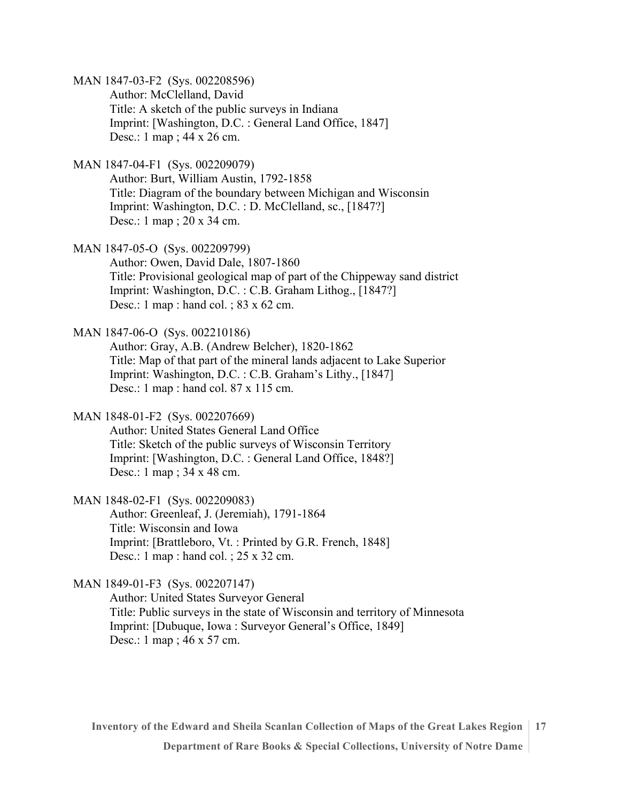MAN 1847-03-F2 (Sys. 002208596)

Author: McClelland, David Title: A sketch of the public surveys in Indiana Imprint: [Washington, D.C. : General Land Office, 1847] Desc.: 1 map ; 44 x 26 cm.

MAN 1847-04-F1 (Sys. 002209079)

Author: Burt, William Austin, 1792-1858 Title: Diagram of the boundary between Michigan and Wisconsin Imprint: Washington, D.C. : D. McClelland, sc., [1847?] Desc.: 1 map ; 20 x 34 cm.

MAN 1847-05-O (Sys. 002209799)

Author: Owen, David Dale, 1807-1860 Title: Provisional geological map of part of the Chippeway sand district Imprint: Washington, D.C. : C.B. Graham Lithog., [1847?] Desc.: 1 map : hand col. ; 83 x 62 cm.

MAN 1847-06-O (Sys. 002210186)

Author: Gray, A.B. (Andrew Belcher), 1820-1862 Title: Map of that part of the mineral lands adjacent to Lake Superior Imprint: Washington, D.C. : C.B. Graham's Lithy., [1847] Desc.: 1 map : hand col. 87 x 115 cm.

MAN 1848-01-F2 (Sys. 002207669)

Author: United States General Land Office Title: Sketch of the public surveys of Wisconsin Territory Imprint: [Washington, D.C. : General Land Office, 1848?] Desc.: 1 map ; 34 x 48 cm.

MAN 1848-02-F1 (Sys. 002209083) Author: Greenleaf, J. (Jeremiah), 1791-1864

Title: Wisconsin and Iowa Imprint: [Brattleboro, Vt. : Printed by G.R. French, 1848] Desc.: 1 map : hand col. ; 25 x 32 cm.

MAN 1849-01-F3 (Sys. 002207147)

Author: United States Surveyor General Title: Public surveys in the state of Wisconsin and territory of Minnesota Imprint: [Dubuque, Iowa : Surveyor General's Office, 1849] Desc.: 1 map ; 46 x 57 cm.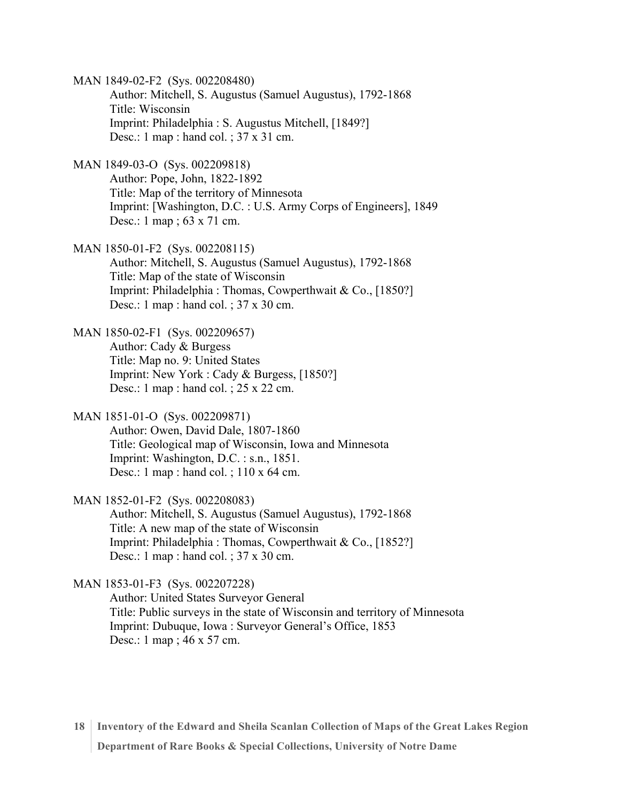MAN 1849-02-F2 (Sys. 002208480) Author: Mitchell, S. Augustus (Samuel Augustus), 1792-1868 Title: Wisconsin Imprint: Philadelphia : S. Augustus Mitchell, [1849?] Desc.: 1 map : hand col. ; 37 x 31 cm.

MAN 1849-03-O (Sys. 002209818) Author: Pope, John, 1822-1892 Title: Map of the territory of Minnesota Imprint: [Washington, D.C. : U.S. Army Corps of Engineers], 1849 Desc.: 1 map ; 63 x 71 cm.

MAN 1850-01-F2 (Sys. 002208115) Author: Mitchell, S. Augustus (Samuel Augustus), 1792-1868 Title: Map of the state of Wisconsin Imprint: Philadelphia : Thomas, Cowperthwait & Co., [1850?] Desc.: 1 map : hand col. ; 37 x 30 cm.

MAN 1850-02-F1 (Sys. 002209657) Author: Cady & Burgess Title: Map no. 9: United States Imprint: New York : Cady & Burgess, [1850?] Desc.: 1 map : hand col. ; 25 x 22 cm.

MAN 1851-01-O (Sys. 002209871)

Author: Owen, David Dale, 1807-1860 Title: Geological map of Wisconsin, Iowa and Minnesota Imprint: Washington, D.C. : s.n., 1851. Desc.: 1 map : hand col. ; 110 x 64 cm.

MAN 1852-01-F2 (Sys. 002208083)

Author: Mitchell, S. Augustus (Samuel Augustus), 1792-1868 Title: A new map of the state of Wisconsin Imprint: Philadelphia : Thomas, Cowperthwait & Co., [1852?] Desc.: 1 map : hand col. ; 37 x 30 cm.

MAN 1853-01-F3 (Sys. 002207228)

Author: United States Surveyor General Title: Public surveys in the state of Wisconsin and territory of Minnesota Imprint: Dubuque, Iowa : Surveyor General's Office, 1853 Desc.: 1 map ; 46 x 57 cm.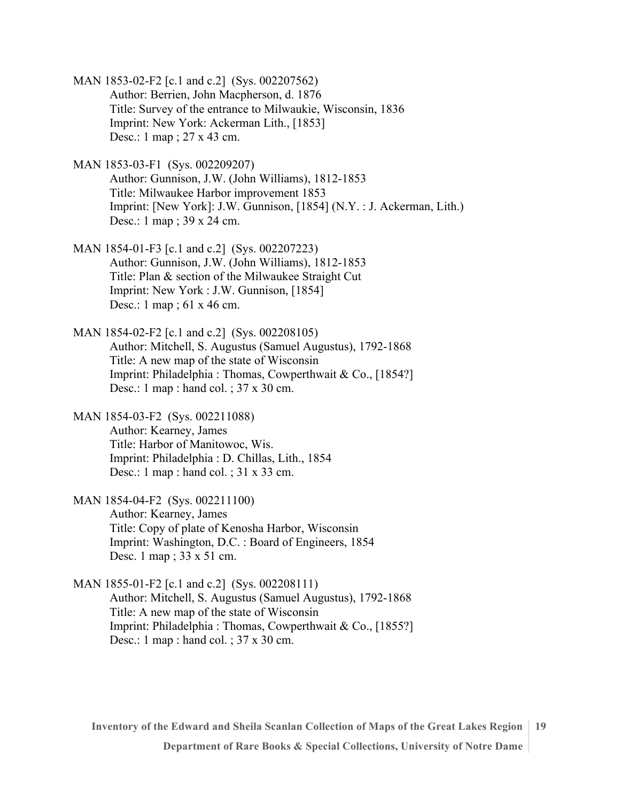- MAN 1853-02-F2 [c.1 and c.2] (Sys. 002207562) Author: Berrien, John Macpherson, d. 1876 Title: Survey of the entrance to Milwaukie, Wisconsin, 1836 Imprint: New York: Ackerman Lith., [1853] Desc.: 1 map ; 27 x 43 cm.
- MAN 1853-03-F1 (Sys. 002209207) Author: Gunnison, J.W. (John Williams), 1812-1853 Title: Milwaukee Harbor improvement 1853 Imprint: [New York]: J.W. Gunnison, [1854] (N.Y. : J. Ackerman, Lith.) Desc.: 1 map ; 39 x 24 cm.
- MAN 1854-01-F3 [c.1 and c.2] (Sys. 002207223) Author: Gunnison, J.W. (John Williams), 1812-1853 Title: Plan & section of the Milwaukee Straight Cut Imprint: New York : J.W. Gunnison, [1854] Desc.: 1 map ; 61 x 46 cm.
- MAN 1854-02-F2 [c.1 and c.2] (Sys. 002208105) Author: Mitchell, S. Augustus (Samuel Augustus), 1792-1868 Title: A new map of the state of Wisconsin Imprint: Philadelphia : Thomas, Cowperthwait & Co., [1854?] Desc.: 1 map : hand col. ; 37 x 30 cm.
- MAN 1854-03-F2 (Sys. 002211088) Author: Kearney, James Title: Harbor of Manitowoc, Wis. Imprint: Philadelphia : D. Chillas, Lith., 1854 Desc.: 1 map : hand col. ; 31 x 33 cm.
- MAN 1854-04-F2 (Sys. 002211100) Author: Kearney, James Title: Copy of plate of Kenosha Harbor, Wisconsin Imprint: Washington, D.C. : Board of Engineers, 1854 Desc. 1 map ; 33 x 51 cm.
- MAN 1855-01-F2 [c.1 and c.2] (Sys. 002208111) Author: Mitchell, S. Augustus (Samuel Augustus), 1792-1868 Title: A new map of the state of Wisconsin Imprint: Philadelphia : Thomas, Cowperthwait & Co., [1855?] Desc.: 1 map : hand col. ; 37 x 30 cm.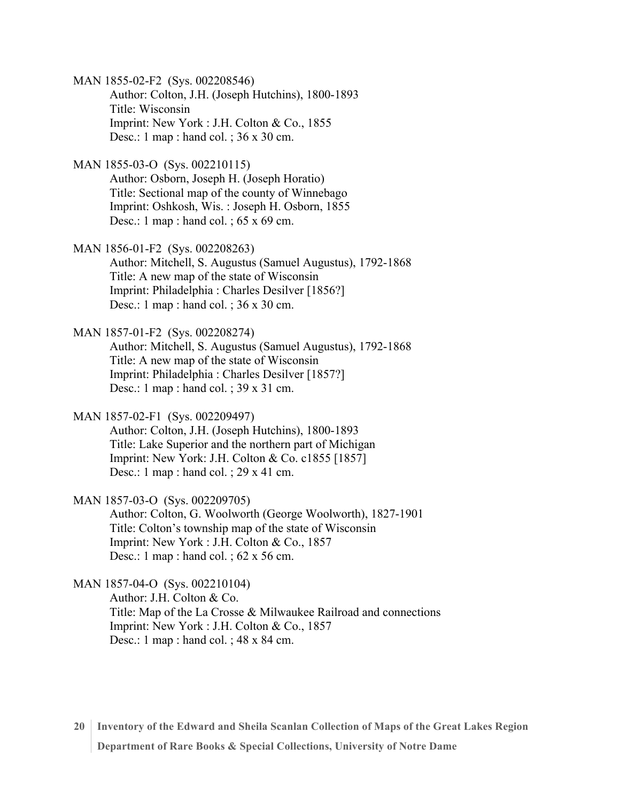MAN 1855-02-F2 (Sys. 002208546) Author: Colton, J.H. (Joseph Hutchins), 1800-1893 Title: Wisconsin Imprint: New York : J.H. Colton & Co., 1855 Desc.: 1 map : hand col. ; 36 x 30 cm.

MAN 1855-03-O (Sys. 002210115) Author: Osborn, Joseph H. (Joseph Horatio) Title: Sectional map of the county of Winnebago Imprint: Oshkosh, Wis. : Joseph H. Osborn, 1855 Desc.: 1 map : hand col. ;  $65 \times 69$  cm.

MAN 1856-01-F2 (Sys. 002208263) Author: Mitchell, S. Augustus (Samuel Augustus), 1792-1868 Title: A new map of the state of Wisconsin Imprint: Philadelphia : Charles Desilver [1856?] Desc.: 1 map : hand col. ; 36 x 30 cm.

MAN 1857-01-F2 (Sys. 002208274) Author: Mitchell, S. Augustus (Samuel Augustus), 1792-1868 Title: A new map of the state of Wisconsin Imprint: Philadelphia : Charles Desilver [1857?] Desc.: 1 map : hand col. ; 39 x 31 cm.

MAN 1857-02-F1 (Sys. 002209497) Author: Colton, J.H. (Joseph Hutchins), 1800-1893 Title: Lake Superior and the northern part of Michigan Imprint: New York: J.H. Colton & Co. c1855 [1857] Desc.: 1 map : hand col. ; 29 x 41 cm.

MAN 1857-03-O (Sys. 002209705) Author: Colton, G. Woolworth (George Woolworth), 1827-1901 Title: Colton's township map of the state of Wisconsin Imprint: New York : J.H. Colton & Co., 1857 Desc.: 1 map : hand col. ; 62 x 56 cm.

MAN 1857-04-O (Sys. 002210104) Author: J.H. Colton & Co. Title: Map of the La Crosse & Milwaukee Railroad and connections Imprint: New York : J.H. Colton & Co., 1857 Desc.: 1 map : hand col. ; 48 x 84 cm.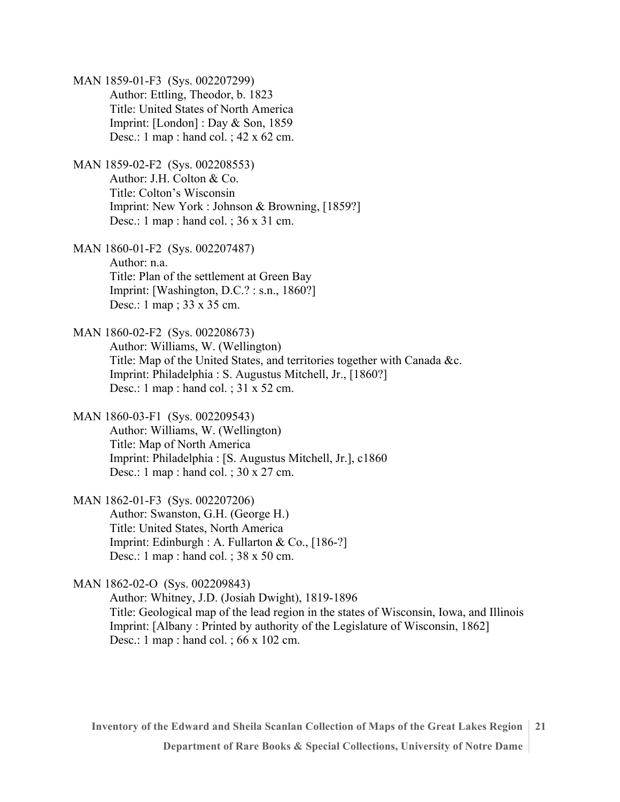MAN 1859-01-F3 (Sys. 002207299) Author: Ettling, Theodor, b. 1823 Title: United States of North America Imprint: [London] : Day & Son, 1859 Desc.: 1 map : hand col. ; 42 x 62 cm.

MAN 1859-02-F2 (Sys. 002208553) Author: J.H. Colton & Co. Title: Colton's Wisconsin Imprint: New York : Johnson & Browning, [1859?] Desc.: 1 map : hand col. ; 36 x 31 cm.

MAN 1860-01-F2 (Sys. 002207487) Author: n.a. Title: Plan of the settlement at Green Bay Imprint: [Washington, D.C.? : s.n., 1860?] Desc.: 1 map ; 33 x 35 cm.

MAN 1860-02-F2 (Sys. 002208673) Author: Williams, W. (Wellington) Title: Map of the United States, and territories together with Canada &c. Imprint: Philadelphia : S. Augustus Mitchell, Jr., [1860?] Desc.: 1 map : hand col. ; 31 x 52 cm.

MAN 1860-03-F1 (Sys. 002209543) Author: Williams, W. (Wellington) Title: Map of North America Imprint: Philadelphia : [S. Augustus Mitchell, Jr.], c1860 Desc.: 1 map : hand col. ; 30 x 27 cm.

MAN 1862-01-F3 (Sys. 002207206) Author: Swanston, G.H. (George H.) Title: United States, North America Imprint: Edinburgh : A. Fullarton & Co., [186-?] Desc.: 1 map : hand col. ; 38 x 50 cm.

MAN 1862-02-O (Sys. 002209843)

Author: Whitney, J.D. (Josiah Dwight), 1819-1896 Title: Geological map of the lead region in the states of Wisconsin, Iowa, and Illinois Imprint: [Albany : Printed by authority of the Legislature of Wisconsin, 1862] Desc.: 1 map : hand col. ; 66 x 102 cm.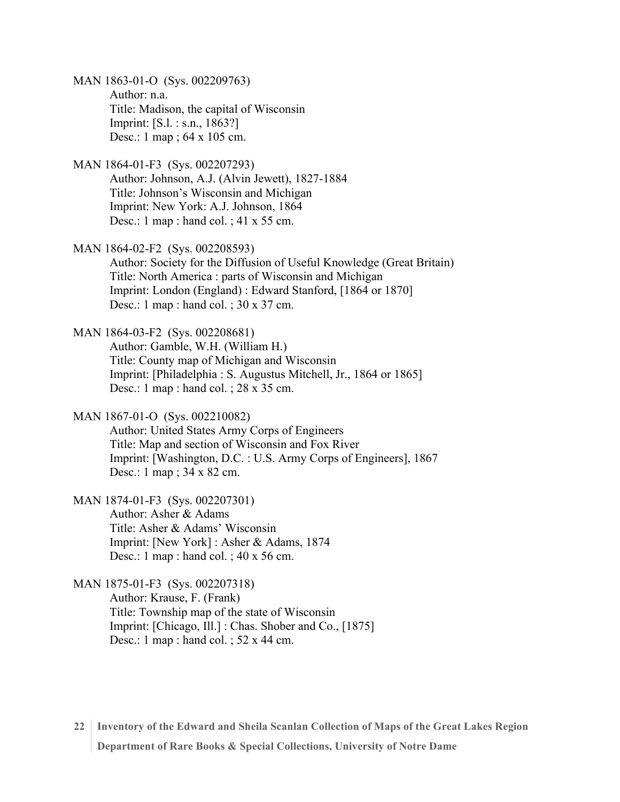MAN 1863-01-O (Sys. 002209763) Author: n.a. Title: Madison, the capital of Wisconsin Imprint: [S.l. : s.n., 1863?] Desc.: 1 map ; 64 x 105 cm.

MAN 1864-01-F3 (Sys. 002207293) Author: Johnson, A.J. (Alvin Jewett), 1827-1884 Title: Johnson's Wisconsin and Michigan Imprint: New York: A.J. Johnson, 1864 Desc.: 1 map : hand col. ; 41 x 55 cm.

MAN 1864-02-F2 (Sys. 002208593) Author: Society for the Diffusion of Useful Knowledge (Great Britain) Title: North America : parts of Wisconsin and Michigan Imprint: London (England) : Edward Stanford, [1864 or 1870] Desc.: 1 map : hand col. ; 30 x 37 cm.

MAN 1864-03-F2 (Sys. 002208681) Author: Gamble, W.H. (William H.) Title: County map of Michigan and Wisconsin Imprint: [Philadelphia : S. Augustus Mitchell, Jr., 1864 or 1865] Desc.: 1 map : hand col. ; 28 x 35 cm.

MAN 1867-01-O (Sys. 002210082) Author: United States Army Corps of Engineers Title: Map and section of Wisconsin and Fox River Imprint: [Washington, D.C. : U.S. Army Corps of Engineers], 1867 Desc.: 1 map ; 34 x 82 cm.

MAN 1874-01-F3 (Sys. 002207301) Author: Asher & Adams Title: Asher & Adams' Wisconsin Imprint: [New York] : Asher & Adams, 1874 Desc.: 1 map : hand col. ; 40 x 56 cm.

MAN 1875-01-F3 (Sys. 002207318) Author: Krause, F. (Frank) Title: Township map of the state of Wisconsin Imprint: [Chicago, Ill.] : Chas. Shober and Co., [1875] Desc.: 1 map : hand col. ; 52 x 44 cm.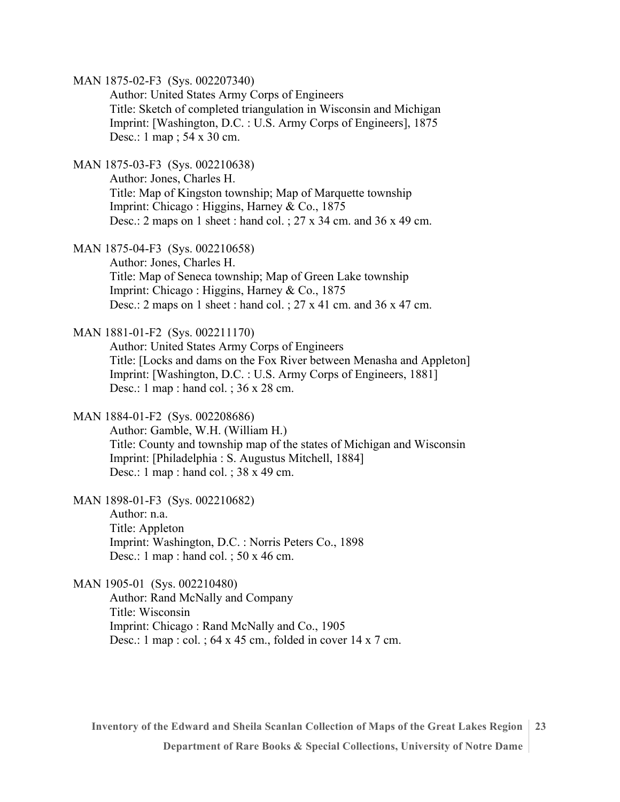MAN 1875-02-F3 (Sys. 002207340)

Author: United States Army Corps of Engineers Title: Sketch of completed triangulation in Wisconsin and Michigan Imprint: [Washington, D.C. : U.S. Army Corps of Engineers], 1875 Desc.: 1 map ; 54 x 30 cm.

MAN 1875-03-F3 (Sys. 002210638)

Author: Jones, Charles H. Title: Map of Kingston township; Map of Marquette township Imprint: Chicago : Higgins, Harney & Co., 1875 Desc.: 2 maps on 1 sheet : hand col. ; 27 x 34 cm. and 36 x 49 cm.

MAN 1875-04-F3 (Sys. 002210658)

Author: Jones, Charles H. Title: Map of Seneca township; Map of Green Lake township Imprint: Chicago : Higgins, Harney & Co., 1875 Desc.: 2 maps on 1 sheet : hand col. ;  $27 \times 41$  cm. and  $36 \times 47$  cm.

#### MAN 1881-01-F2 (Sys. 002211170)

Author: United States Army Corps of Engineers Title: [Locks and dams on the Fox River between Menasha and Appleton] Imprint: [Washington, D.C. : U.S. Army Corps of Engineers, 1881] Desc.: 1 map : hand col. ; 36 x 28 cm.

#### MAN 1884-01-F2 (Sys. 002208686)

Author: Gamble, W.H. (William H.) Title: County and township map of the states of Michigan and Wisconsin Imprint: [Philadelphia : S. Augustus Mitchell, 1884] Desc.: 1 map : hand col. ; 38 x 49 cm.

MAN 1898-01-F3 (Sys. 002210682)

Author: n.a. Title: Appleton Imprint: Washington, D.C. : Norris Peters Co., 1898 Desc.: 1 map : hand col. ; 50 x 46 cm.

MAN 1905-01 (Sys. 002210480)

Author: Rand McNally and Company Title: Wisconsin Imprint: Chicago : Rand McNally and Co., 1905 Desc.: 1 map : col. ; 64 x 45 cm., folded in cover 14 x 7 cm.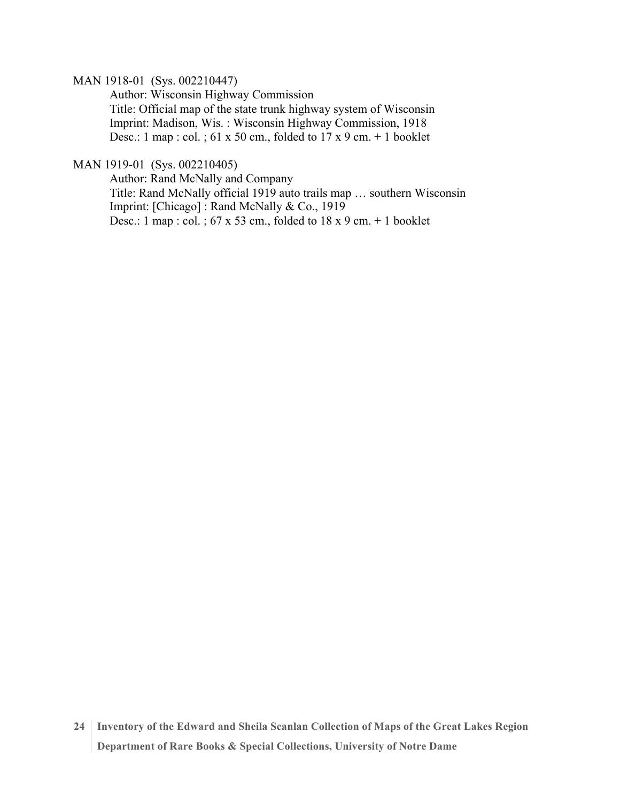#### MAN 1918-01 (Sys. 002210447)

Author: Wisconsin Highway Commission Title: Official map of the state trunk highway system of Wisconsin Imprint: Madison, Wis. : Wisconsin Highway Commission, 1918 Desc.: 1 map : col. ; 61 x 50 cm., folded to  $17 \times 9$  cm. + 1 booklet

### MAN 1919-01 (Sys. 002210405)

Author: Rand McNally and Company Title: Rand McNally official 1919 auto trails map … southern Wisconsin Imprint: [Chicago] : Rand McNally & Co., 1919 Desc.: 1 map : col. ;  $67 \times 53$  cm., folded to  $18 \times 9$  cm. + 1 booklet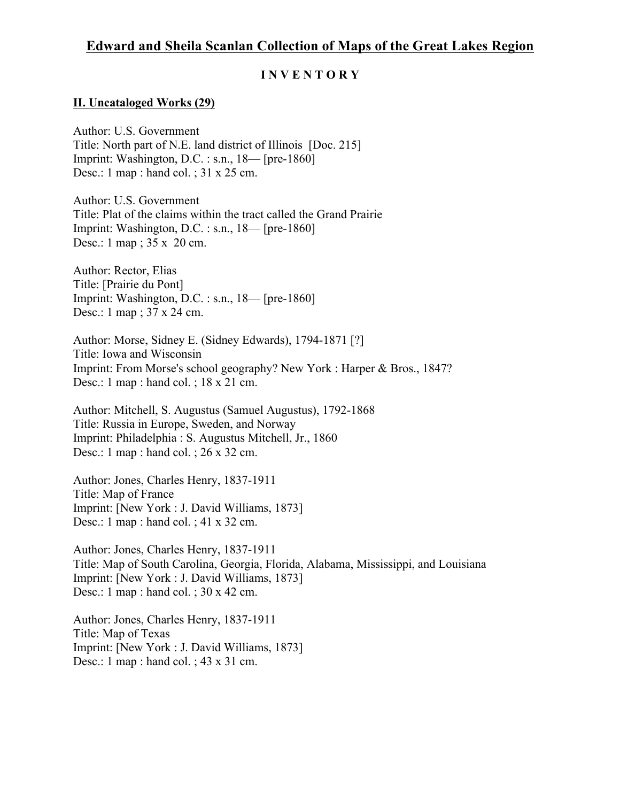# **Edward and Sheila Scanlan Collection of Maps of the Great Lakes Region**

## **I N V E N T O R Y**

## **II. Uncataloged Works (29)**

Author: U.S. Government Title: North part of N.E. land district of Illinois [Doc. 215] Imprint: Washington, D.C. : s.n., 18— [pre-1860] Desc.: 1 map : hand col. ; 31 x 25 cm.

Author: U.S. Government Title: Plat of the claims within the tract called the Grand Prairie Imprint: Washington, D.C. : s.n., 18— [pre-1860] Desc.: 1 map ; 35 x 20 cm.

Author: Rector, Elias Title: [Prairie du Pont] Imprint: Washington, D.C. : s.n., 18— [pre-1860] Desc.: 1 map ; 37 x 24 cm.

Author: Morse, Sidney E. (Sidney Edwards), 1794-1871 [?] Title: Iowa and Wisconsin Imprint: From Morse's school geography? New York : Harper & Bros., 1847? Desc.: 1 map : hand col. ; 18 x 21 cm.

Author: Mitchell, S. Augustus (Samuel Augustus), 1792-1868 Title: Russia in Europe, Sweden, and Norway Imprint: Philadelphia : S. Augustus Mitchell, Jr., 1860 Desc.: 1 map : hand col. ; 26 x 32 cm.

Author: Jones, Charles Henry, 1837-1911 Title: Map of France Imprint: [New York : J. David Williams, 1873] Desc.: 1 map : hand col. ; 41 x 32 cm.

Author: Jones, Charles Henry, 1837-1911 Title: Map of South Carolina, Georgia, Florida, Alabama, Mississippi, and Louisiana Imprint: [New York : J. David Williams, 1873] Desc.: 1 map : hand col. ; 30 x 42 cm.

Author: Jones, Charles Henry, 1837-1911 Title: Map of Texas Imprint: [New York : J. David Williams, 1873] Desc.: 1 map : hand col. ; 43 x 31 cm.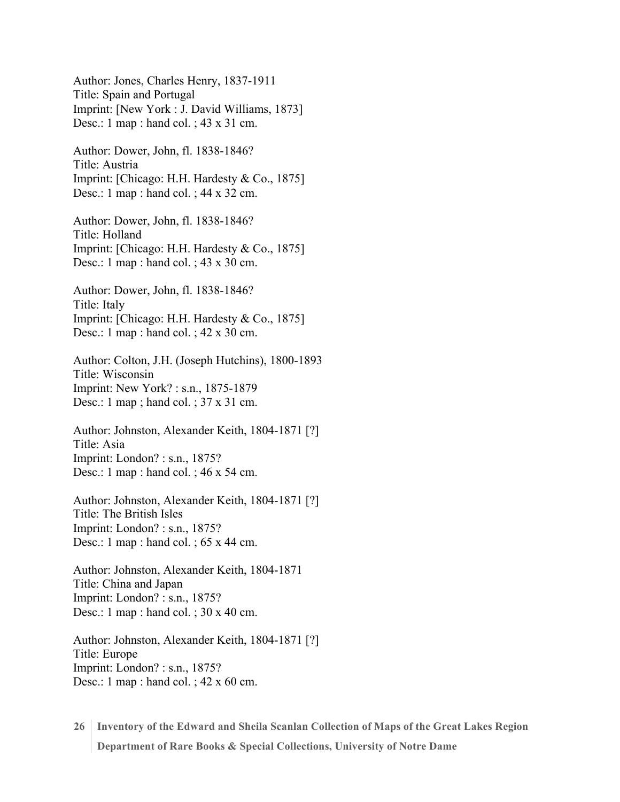Author: Jones, Charles Henry, 1837-1911 Title: Spain and Portugal Imprint: [New York : J. David Williams, 1873] Desc.: 1 map : hand col. ; 43 x 31 cm.

Author: Dower, John, fl. 1838-1846? Title: Austria Imprint: [Chicago: H.H. Hardesty & Co., 1875] Desc.: 1 map : hand col. ; 44 x 32 cm.

Author: Dower, John, fl. 1838-1846? Title: Holland Imprint: [Chicago: H.H. Hardesty & Co., 1875] Desc.: 1 map : hand col. ; 43 x 30 cm.

Author: Dower, John, fl. 1838-1846? Title: Italy Imprint: [Chicago: H.H. Hardesty & Co., 1875] Desc.: 1 map : hand col. ; 42 x 30 cm.

Author: Colton, J.H. (Joseph Hutchins), 1800-1893 Title: Wisconsin Imprint: New York? : s.n., 1875-1879 Desc.: 1 map ; hand col. ; 37 x 31 cm.

Author: Johnston, Alexander Keith, 1804-1871 [?] Title: Asia Imprint: London? : s.n., 1875? Desc.: 1 map : hand col. ; 46 x 54 cm.

Author: Johnston, Alexander Keith, 1804-1871 [?] Title: The British Isles Imprint: London? : s.n., 1875? Desc.: 1 map : hand col. ; 65 x 44 cm.

Author: Johnston, Alexander Keith, 1804-1871 Title: China and Japan Imprint: London? : s.n., 1875? Desc.: 1 map : hand col. ; 30 x 40 cm.

Author: Johnston, Alexander Keith, 1804-1871 [?] Title: Europe Imprint: London? : s.n., 1875? Desc.: 1 map : hand col. ; 42 x 60 cm.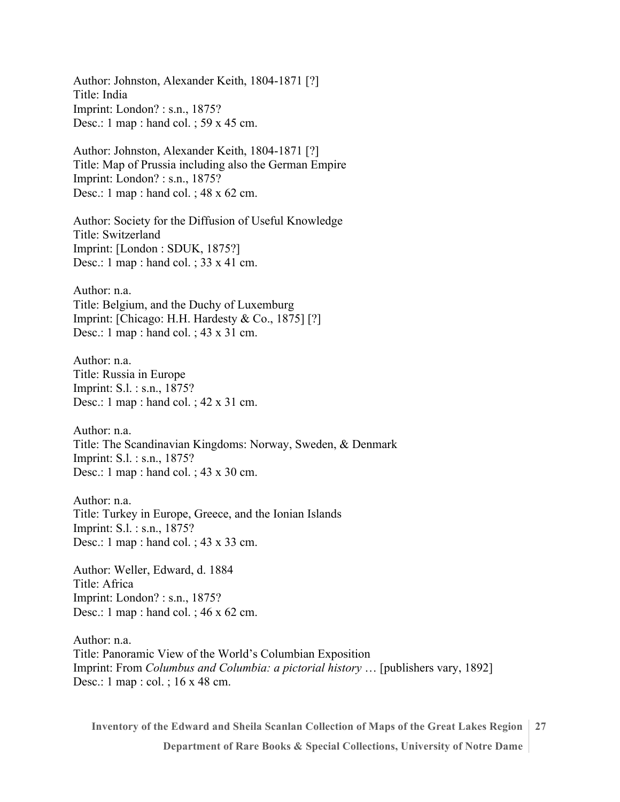Author: Johnston, Alexander Keith, 1804-1871 [?] Title: India Imprint: London? : s.n., 1875? Desc.: 1 map : hand col. ; 59 x 45 cm.

Author: Johnston, Alexander Keith, 1804-1871 [?] Title: Map of Prussia including also the German Empire Imprint: London? : s.n., 1875? Desc.: 1 map : hand col. ; 48 x 62 cm.

Author: Society for the Diffusion of Useful Knowledge Title: Switzerland Imprint: [London : SDUK, 1875?] Desc.: 1 map : hand col. ; 33 x 41 cm.

Author: n.a. Title: Belgium, and the Duchy of Luxemburg Imprint: [Chicago: H.H. Hardesty & Co., 1875] [?] Desc.: 1 map : hand col. ; 43 x 31 cm.

Author: n.a. Title: Russia in Europe Imprint: S.l. : s.n., 1875? Desc.: 1 map : hand col. ; 42 x 31 cm.

Author: n.a. Title: The Scandinavian Kingdoms: Norway, Sweden, & Denmark Imprint: S.l. : s.n., 1875? Desc.: 1 map : hand col. ; 43 x 30 cm.

Author: n.a. Title: Turkey in Europe, Greece, and the Ionian Islands Imprint: S.l. : s.n., 1875? Desc.: 1 map : hand col. ; 43 x 33 cm.

Author: Weller, Edward, d. 1884 Title: Africa Imprint: London? : s.n., 1875? Desc.: 1 map : hand col. ; 46 x 62 cm.

Author: n.a. Title: Panoramic View of the World's Columbian Exposition Imprint: From *Columbus and Columbia: a pictorial history* … [publishers vary, 1892] Desc.: 1 map : col. ; 16 x 48 cm.